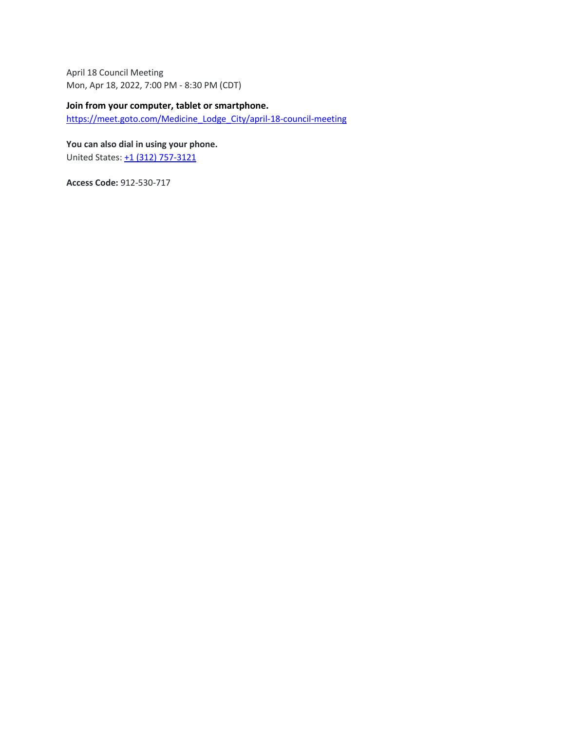April 18 Council Meeting Mon, Apr 18, 2022, 7:00 PM - 8:30 PM (CDT)

#### **Join from your computer, tablet or smartphone.**

[https://meet.goto.com/Medicine\\_Lodge\\_City/april-18-council-meeting](https://meet.goto.com/Medicine_Lodge_City/april-18-council-meeting)

**You can also dial in using your phone.**

United States: [+1 \(312\) 757-3121](tel:+13127573121,,912530717)

**Access Code:** 912-530-717